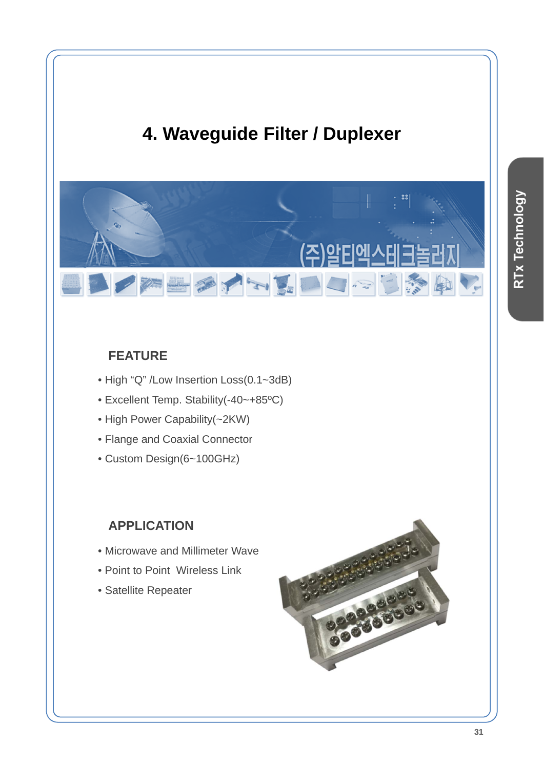

## **FEATURE**

- High "Q" /Low Insertion Loss(0.1~3dB)
- Excellent Temp. Stability(-40~+85ºC)
- High Power Capability(~2KW)
- Flange and Coaxial Connector
- Custom Design(6~100GHz)

## **APPLICATION**

- Microwave and Millimeter Wave
- Point to Point Wireless Link
- Satellite Repeater

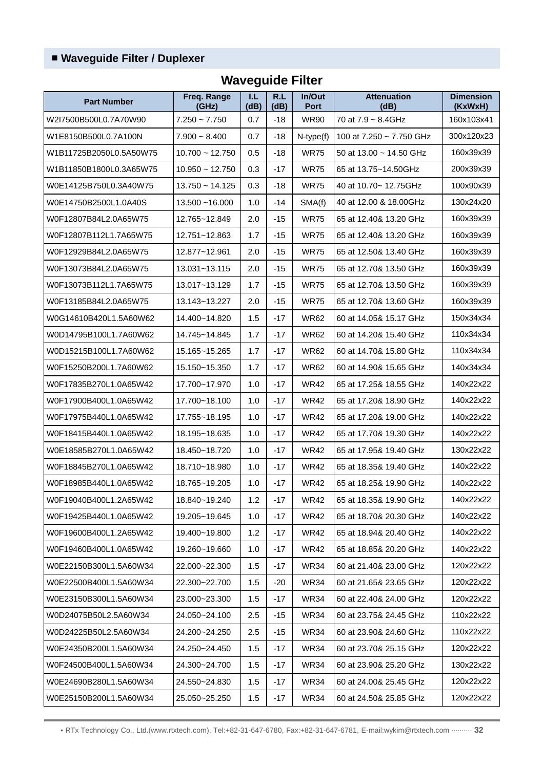| <b>Part Number</b>      | Freq. Range<br>(GHz) | I.L<br>(dB) | R.L<br>(dB) | In/Out<br><b>Port</b>                   | <b>Attenuation</b><br>(dB)   | <b>Dimension</b><br>(KxWxH) |
|-------------------------|----------------------|-------------|-------------|-----------------------------------------|------------------------------|-----------------------------|
| W2I7500B500L0.7A70W90   | $7.250 - 7.750$      | 0.7         | $-18$       | <b>WR90</b><br>70 at $7.9 \sim 8.4$ GHz |                              | 160x103x41                  |
| W1E8150B500L0.7A100N    | $7.900 - 8.400$      | 0.7         | $-18$       | $N$ -type $(f)$                         | 100 at 7.250 ~ 7.750 GHz     | 300x120x23                  |
| W1B11725B2050L0.5A50W75 | $10.700 - 12.750$    | 0.5         | $-18$       | <b>WR75</b>                             | 50 at 13.00 $\sim$ 14.50 GHz | 160x39x39                   |
| W1B11850B1800L0.3A65W75 | $10.950 - 12.750$    | 0.3         | $-17$       | <b>WR75</b>                             | 65 at 13.75~14.50GHz         | 200x39x39                   |
| W0E14125B750L0.3A40W75  | $13.750 - 14.125$    | 0.3         | $-18$       | <b>WR75</b>                             | 40 at 10.70~ 12.75GHz        | 100x90x39                   |
| W0E14750B2500L1.0A40S   | $13.500 - 16.000$    | 1.0         | $-14$       | SMA(f)                                  | 40 at 12.00 & 18.00GHz       | 130x24x20                   |
| W0F12807B84L2.0A65W75   | 12.765~12.849        | 2.0         | $-15$       | <b>WR75</b>                             | 65 at 12.40& 13.20 GHz       | 160x39x39                   |
| W0F12807B112L1.7A65W75  | 12.751~12.863        | 1.7         | $-15$       | <b>WR75</b>                             | 65 at 12.40& 13.20 GHz       | 160x39x39                   |
| W0F12929B84L2.0A65W75   | 12.877~12.961        | 2.0         | $-15$       | <b>WR75</b>                             | 65 at 12.50& 13.40 GHz       | 160x39x39                   |
| W0F13073B84L2.0A65W75   | 13.031~13.115        | 2.0         | $-15$       | <b>WR75</b>                             | 65 at 12.70& 13.50 GHz       | 160x39x39                   |
| W0F13073B112L1.7A65W75  | 13.017~13.129        | 1.7         | $-15$       | <b>WR75</b>                             | 65 at 12.70& 13.50 GHz       | 160x39x39                   |
| W0F13185B84L2.0A65W75   | 13.143~13.227        | 2.0         | $-15$       | <b>WR75</b>                             | 65 at 12.70& 13.60 GHz       | 160x39x39                   |
| W0G14610B420L1.5A60W62  | 14.400~14.820        | 1.5         | $-17$       | <b>WR62</b>                             | 60 at 14.05& 15.17 GHz       | 150x34x34                   |
| W0D14795B100L1.7A60W62  | 14.745~14.845        | 1.7         | $-17$       | <b>WR62</b>                             | 60 at 14.20& 15.40 GHz       | 110x34x34                   |
| W0D15215B100L1.7A60W62  | 15.165~15.265        | 1.7         | $-17$       | <b>WR62</b>                             | 60 at 14.70& 15.80 GHz       | 110x34x34                   |
| W0F15250B200L1.7A60W62  | 15.150~15.350        | 1.7         | $-17$       | <b>WR62</b>                             | 60 at 14.90& 15.65 GHz       | 140x34x34                   |
| W0F17835B270L1.0A65W42  | 17.700~17.970        | 1.0         | $-17$       | <b>WR42</b>                             | 65 at 17.25& 18.55 GHz       | 140x22x22                   |
| W0F17900B400L1.0A65W42  | 17.700~18.100        | 1.0         | $-17$       | <b>WR42</b>                             | 65 at 17.20& 18.90 GHz       | 140x22x22                   |
| W0F17975B440L1.0A65W42  | 17.755~18.195        | 1.0         | $-17$       | <b>WR42</b>                             | 65 at 17.20& 19.00 GHz       |                             |
| W0F18415B440L1.0A65W42  | 18.195~18.635        | 1.0         | $-17$       | <b>WR42</b>                             | 65 at 17.70& 19.30 GHz       |                             |
| W0E18585B270L1.0A65W42  | 18.450~18.720        | 1.0         | $-17$       | <b>WR42</b>                             | 65 at 17.95& 19.40 GHz       | 130x22x22                   |
| W0F18845B270L1.0A65W42  | 18.710~18.980        | 1.0         | $-17$       | <b>WR42</b>                             | 65 at 18.35& 19.40 GHz       | 140x22x22                   |
| W0F18985B440L1.0A65W42  | 18.765~19.205        | 1.0         | $-17$       | <b>WR42</b>                             | 65 at 18.25& 19.90 GHz       | 140x22x22                   |
| W0F19040B400L1.2A65W42  | 18.840~19.240        | 1.2         | $-17$       | <b>WR42</b>                             | 65 at 18.35& 19.90 GHz       | 140x22x22                   |
| W0F19425B440L1.0A65W42  | 19.205~19.645        | 1.0         | $-17$       | <b>WR42</b>                             | 65 at 18.70& 20.30 GHz       | 140x22x22                   |
| W0F19600B400L1.2A65W42  | 19.400~19.800        | 1.2         | $-17$       | <b>WR42</b>                             | 65 at 18.94& 20.40 GHz       | 140x22x22                   |
| W0F19460B400L1.0A65W42  | 19.260~19.660        | 1.0         | $-17$       | <b>WR42</b>                             | 65 at 18.85& 20.20 GHz       |                             |
| W0E22150B300L1.5A60W34  | 22.000~22.300        | 1.5         | $-17$       | <b>WR34</b><br>60 at 21.40& 23.00 GHz   |                              | 120x22x22                   |
| W0E22500B400L1.5A60W34  | 22.300~22.700        | 1.5         | $-20$       | <b>WR34</b><br>60 at 21.65& 23.65 GHz   |                              | 120x22x22                   |
| W0E23150B300L1.5A60W34  | 23.000~23.300        | 1.5         | $-17$       | <b>WR34</b><br>60 at 22.40& 24.00 GHz   |                              | 120x22x22                   |
| W0D24075B50L2.5A60W34   | 24.050~24.100        | 2.5         | $-15$       | <b>WR34</b><br>60 at 23.75& 24.45 GHz   |                              | 110x22x22                   |
| W0D24225B50L2.5A60W34   | 24.200~24.250        | 2.5         | -15         | <b>WR34</b><br>60 at 23.90& 24.60 GHz   |                              | 110x22x22                   |
| W0E24350B200L1.5A60W34  | 24.250~24.450        | 1.5         | $-17$       | <b>WR34</b><br>60 at 23.70& 25.15 GHz   |                              | 120x22x22                   |
| W0F24500B400L1.5A60W34  | 24.300~24.700        | 1.5         | $-17$       | <b>WR34</b>                             | 60 at 23.90& 25.20 GHz       | 130x22x22                   |
| W0E24690B280L1.5A60W34  | 24.550~24.830        | 1.5         | $-17$       | <b>WR34</b>                             | 60 at 24.00& 25.45 GHz       | 120x22x22                   |
| W0E25150B200L1.5A60W34  | 25.050~25.250        | 1.5         | $-17$       | <b>WR34</b><br>60 at 24.50& 25.85 GHz   |                              | 120x22x22                   |

## **Waveguide Filter**

• RTx Technology Co., Ltd.(www.rtxtech.com), Tel:+82-31-647-6780, Fax:+82-31-647-6781, E-mail:wykim@rtxtech.com ·········· **32**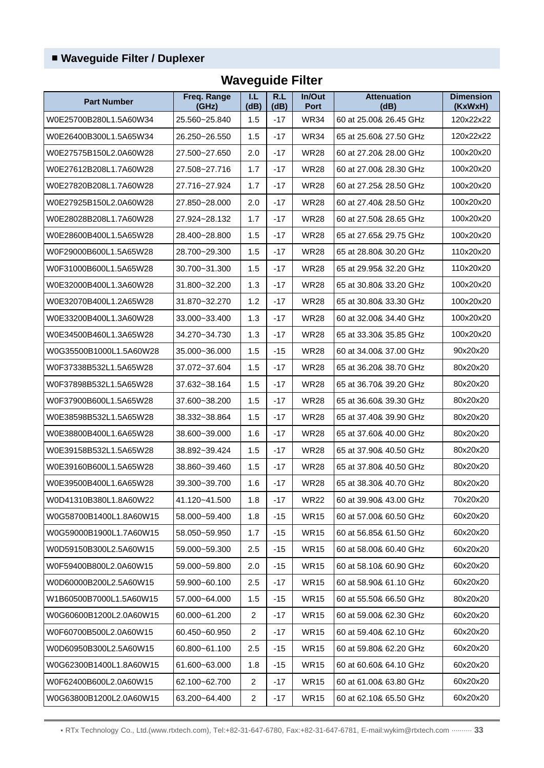| <b>Part Number</b>      | Freq. Range<br>(GHz) | T.L.<br>(dB)   | R.L<br>(dB) | In/Out<br>Port                        | <b>Attenuation</b><br>(dB) | <b>Dimension</b><br>(KxWxH) |
|-------------------------|----------------------|----------------|-------------|---------------------------------------|----------------------------|-----------------------------|
| W0E25700B280L1.5A60W34  | 25.560~25.840        | 1.5            | $-17$       | <b>WR34</b>                           | 60 at 25.00& 26.45 GHz     | 120x22x22                   |
| W0E26400B300L1.5A65W34  | 26.250~26.550        | 1.5            | $-17$       | <b>WR34</b>                           | 65 at 25.60& 27.50 GHz     | 120x22x22                   |
| W0E27575B150L2.0A60W28  | 27.500~27.650        | 2.0            | $-17$       | <b>WR28</b>                           | 60 at 27.20& 28.00 GHz     | 100x20x20                   |
| W0E27612B208L1.7A60W28  | 27.508~27.716        | 1.7            | $-17$       | <b>WR28</b>                           | 60 at 27,00& 28,30 GHz     | 100x20x20                   |
| W0E27820B208L1.7A60W28  | 27.716~27.924        | 1.7            | $-17$       | <b>WR28</b>                           | 60 at 27.25& 28.50 GHz     | 100x20x20                   |
| W0E27925B150L2.0A60W28  | 27.850~28.000        | 2.0            | $-17$       | <b>WR28</b>                           | 60 at 27,40& 28.50 GHz     | 100x20x20                   |
| W0E28028B208L1.7A60W28  | 27.924~28.132        | 1.7            | $-17$       | <b>WR28</b>                           | 60 at 27.50& 28.65 GHz     | 100x20x20                   |
| W0E28600B400L1.5A65W28  | 28.400~28.800        | 1.5            | $-17$       | <b>WR28</b>                           | 65 at 27.65& 29.75 GHz     | 100x20x20                   |
| W0F29000B600L1.5A65W28  | 28.700~29.300        | 1.5            | $-17$       | <b>WR28</b>                           | 65 at 28,80& 30,20 GHz     | 110x20x20                   |
| W0F31000B600L1.5A65W28  | 30.700~31.300        | 1.5            | $-17$       | <b>WR28</b>                           | 65 at 29.95& 32.20 GHz     | 110x20x20                   |
| W0E32000B400L1.3A60W28  | 31.800~32.200        | 1.3            | $-17$       | <b>WR28</b>                           | 65 at 30.80& 33.20 GHz     | 100x20x20                   |
| W0E32070B400L1.2A65W28  | 31.870~32.270        | 1.2            | $-17$       | <b>WR28</b>                           | 65 at 30.80& 33.30 GHz     | 100x20x20                   |
| W0E33200B400L1.3A60W28  | 33.000~33.400        | 1.3            | $-17$       | <b>WR28</b>                           | 60 at 32.00& 34.40 GHz     | 100x20x20                   |
| W0E34500B460L1.3A65W28  | 34.270~34.730        | 1.3            | $-17$       | <b>WR28</b>                           | 65 at 33.30& 35.85 GHz     | 100x20x20                   |
| W0G35500B1000L1.5A60W28 | 35.000~36.000        | 1.5            | $-15$       | <b>WR28</b>                           | 60 at 34.00& 37.00 GHz     | 90x20x20                    |
| W0F37338B532L1.5A65W28  | 37.072~37.604        | 1.5            | $-17$       | <b>WR28</b>                           | 65 at 36.20& 38.70 GHz     | 80x20x20                    |
| W0F37898B532L1.5A65W28  | 37.632~38.164        | 1.5            | $-17$       | <b>WR28</b>                           | 65 at 36.70& 39.20 GHz     | 80x20x20                    |
| W0F37900B600L1.5A65W28  | 37.600~38.200        | 1.5            | $-17$       | <b>WR28</b>                           | 65 at 36,60& 39,30 GHz     | 80x20x20                    |
| W0E38598B532L1.5A65W28  | 38.332~38.864        | 1.5            | $-17$       | <b>WR28</b>                           | 65 at 37.40& 39.90 GHz     | 80x20x20                    |
| W0E38800B400L1.6A65W28  | 38.600~39.000        | 1.6            | $-17$       | <b>WR28</b>                           | 65 at 37,60& 40,00 GHz     | 80x20x20                    |
| W0E39158B532L1.5A65W28  | 38.892~39.424        | 1.5            | $-17$       | <b>WR28</b>                           | 65 at 37.90& 40.50 GHz     | 80x20x20                    |
| W0E39160B600L1.5A65W28  | 38.860~39.460        | 1.5            | $-17$       | <b>WR28</b>                           | 65 at 37.80& 40.50 GHz     | 80x20x20                    |
| W0E39500B400L1.6A65W28  | 39.300~39.700        | 1.6            | $-17$       | <b>WR28</b>                           | 65 at 38.30& 40.70 GHz     | 80x20x20                    |
| W0D41310B380L1.8A60W22  | 41.120~41.500        | 1.8            | $-17$       | <b>WR22</b>                           | 60 at 39.90& 43.00 GHz     | 70x20x20                    |
| W0G58700B1400L1.8A60W15 | 58.000~59.400        | 1.8            | $-15$       | <b>WR15</b>                           | 60 at 57.00& 60.50 GHz     | 60x20x20                    |
| W0G59000B1900L1.7A60W15 | 58.050~59.950        | 1.7            | $-15$       | <b>WR15</b>                           | 60 at 56.85& 61.50 GHz     | 60x20x20                    |
| W0D59150B300L2.5A60W15  | 59.000~59.300        | 2.5            | $-15$       | <b>WR15</b>                           | 60 at 58.00& 60.40 GHz     | 60x20x20                    |
| W0F59400B800L2.0A60W15  | 59.000~59.800        | 2.0            | -15         | <b>WR15</b>                           | 60 at 58.10& 60.90 GHz     | 60x20x20                    |
| W0D60000B200L2.5A60W15  | 59.900~60.100        | 2.5            | $-17$       | <b>WR15</b>                           | 60 at 58.90& 61.10 GHz     | 60x20x20                    |
| W1B60500B7000L1.5A60W15 | 57.000~64.000        | 1.5            | -15         | <b>WR15</b>                           | 60 at 55.50& 66.50 GHz     | 80x20x20                    |
| W0G60600B1200L2.0A60W15 | 60.000~61.200        | $\overline{2}$ | $-17$       | <b>WR15</b><br>60 at 59.00& 62.30 GHz |                            | 60x20x20                    |
| W0F60700B500L2.0A60W15  | 60.450~60.950        | 2              | $-17$       | <b>WR15</b><br>60 at 59.40& 62.10 GHz |                            | 60x20x20                    |
| W0D60950B300L2.5A60W15  | 60.800~61.100        | 2.5            | -15         | <b>WR15</b>                           | 60 at 59.80& 62.20 GHz     |                             |
| W0G62300B1400L1.8A60W15 | 61.600~63.000        | 1.8            | $-15$       | <b>WR15</b>                           | 60 at 60.60& 64.10 GHz     | 60x20x20                    |
| W0F62400B600L2.0A60W15  | 62.100~62.700        | $\overline{2}$ | $-17$       | <b>WR15</b>                           | 60 at 61.00& 63.80 GHz     | 60x20x20                    |
| W0G63800B1200L2.0A60W15 | 63.200~64.400        | $\overline{2}$ | $-17$       | <b>WR15</b>                           | 60 at 62.10& 65.50 GHz     | 60x20x20                    |

## **Waveguide Filter**

• RTx Technology Co., Ltd.(www.rtxtech.com), Tel:+82-31-647-6780, Fax:+82-31-647-6781, E-mail:wykim@rtxtech.com ·········· **33**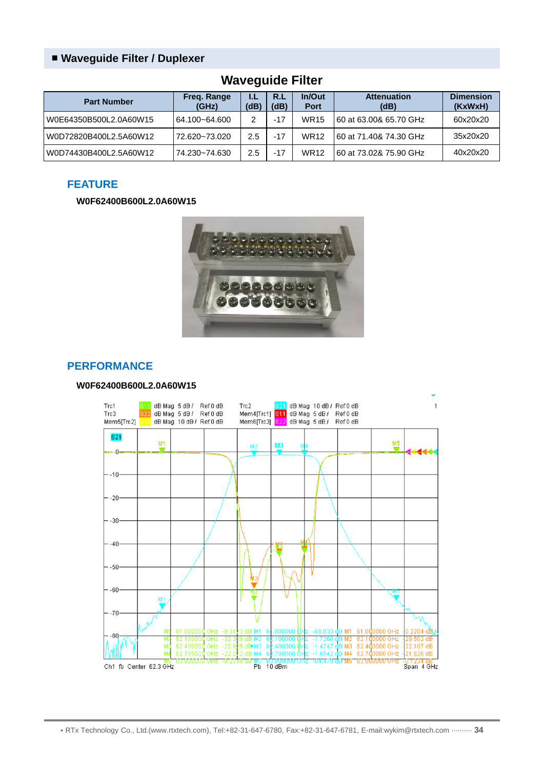| ---- <i>--</i> -----   |                      |            |             |                       |                            |                             |  |  |  |
|------------------------|----------------------|------------|-------------|-----------------------|----------------------------|-----------------------------|--|--|--|
| <b>Part Number</b>     | Freg. Range<br>(GHz) | IJ<br>(dB) | R.L<br>(dB) | In/Out<br><b>Port</b> | <b>Attenuation</b><br>(dB) | <b>Dimension</b><br>(KxWxH) |  |  |  |
| W0E64350B500L2.0A60W15 | 64.100~64.600        | 2          | $-17$       | <b>WR15</b>           | l 60 at 63.00& 65.70 GHz   | 60x20x20                    |  |  |  |
| W0D72820B400L2.5A60W12 | 72.620~73.020        | 2.5        | $-17$       | <b>WR12</b>           | l 60 at 71.40& 74.30 GHz   | 35x20x20                    |  |  |  |
| W0D74430B400L2.5A60W12 | 74.230~74.630        | 2.5        | $-17$       | <b>WR12</b>           | 60 at 73.02& 75.90 GHz     | 40x20x20                    |  |  |  |

### **Waveguide Filter**

#### **FEATURE**

#### **W0F62400B600L2.0A60W15**



#### **PERFORMANCE**

#### **W0F62400B600L2.0A60W15**

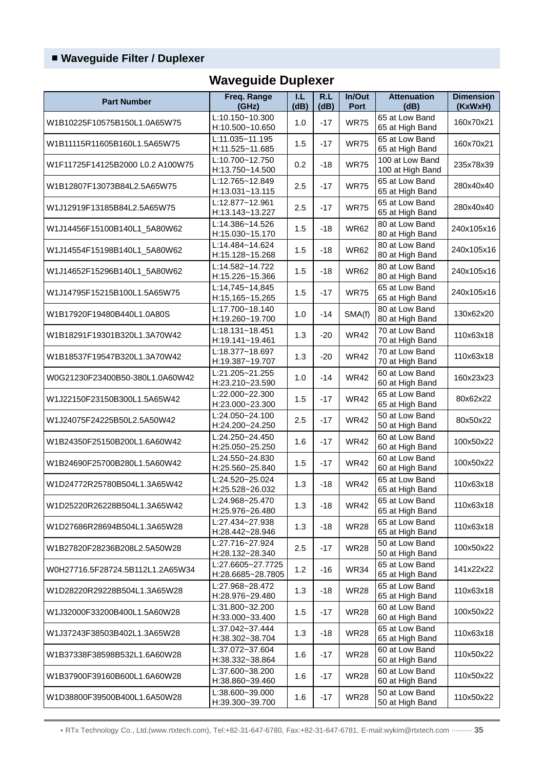## **Waveguide Duplexer**

|                                  | Freq. Range                            | T.L  | R.L   | In/Out      | <b>Attenuation</b>                  | <b>Dimension</b> |
|----------------------------------|----------------------------------------|------|-------|-------------|-------------------------------------|------------------|
| <b>Part Number</b>               | (GHz)                                  | (dB) | (dB)  | Port        | (dB)                                | (KxWxH)          |
| W1B10225F10575B150L1.0A65W75     | L:10.150~10.300<br>H:10.500~10.650     | 1.0  | $-17$ | <b>WR75</b> | 65 at Low Band<br>65 at High Band   | 160x70x21        |
| W1B11115R11605B160L1.5A65W75     | L:11.035~11.195<br>H:11.525~11.685     | 1.5  | $-17$ | <b>WR75</b> | 65 at Low Band<br>65 at High Band   | 160x70x21        |
| W1F11725F14125B2000 L0.2 A100W75 | L:10.700~12.750<br>H:13.750~14.500     | 0.2  | $-18$ | <b>WR75</b> | 100 at Low Band<br>100 at High Band | 235x78x39        |
| W1B12807F13073B84L2.5A65W75      | L:12.765~12.849<br>H:13.031~13.115     | 2.5  | $-17$ | <b>WR75</b> | 65 at Low Band<br>65 at High Band   | 280x40x40        |
| W1J12919F13185B84L2.5A65W75      | L:12.877~12.961<br>H:13.143~13.227     | 2.5  | $-17$ | <b>WR75</b> | 65 at Low Band<br>65 at High Band   | 280x40x40        |
| W1J14456F15100B140L1_5A80W62     | L:14.386~14.526<br>H:15.030~15.170     | 1.5  | $-18$ | <b>WR62</b> | 80 at Low Band<br>80 at High Band   | 240x105x16       |
| W1J14554F15198B140L1_5A80W62     | L:14.484~14.624<br>H:15.128~15.268     | 1.5  | $-18$ | <b>WR62</b> | 80 at Low Band<br>80 at High Band   | 240x105x16       |
| W1J14652F15296B140L1_5A80W62     | L:14.582~14.722<br>H:15.226~15.366     | 1.5  | $-18$ | <b>WR62</b> | 80 at Low Band<br>80 at High Band   | 240x105x16       |
| W1J14795F15215B100L1.5A65W75     | L:14,745~14,845<br>H:15,165~15,265     | 1.5  | $-17$ | <b>WR75</b> | 65 at Low Band<br>65 at High Band   | 240x105x16       |
| W1B17920F19480B440L1.0A80S       | L:17.700~18.140<br>H:19.260~19.700     | 1.0  | $-14$ | SMA(f)      | 80 at Low Band<br>80 at High Band   | 130x62x20        |
| W1B18291F19301B320L1.3A70W42     | L:18.131~18.451<br>H:19.141~19.461     | 1.3  | $-20$ | <b>WR42</b> | 70 at Low Band<br>70 at High Band   | 110x63x18        |
| W1B18537F19547B320L1.3A70W42     | L:18.377~18.697<br>H:19.387~19.707     | 1.3  | $-20$ | <b>WR42</b> | 70 at Low Band<br>70 at High Band   | 110x63x18        |
| W0G21230F23400B50-380L1.0A60W42  | L:21.205~21.255<br>H:23.210~23.590     | 1.0  | $-14$ | <b>WR42</b> | 60 at Low Band<br>60 at High Band   | 160x23x23        |
| W1J22150F23150B300L1.5A65W42     | L:22.000~22.300<br>H:23.000~23.300     | 1.5  | $-17$ | <b>WR42</b> | 65 at Low Band<br>65 at High Band   | 80x62x22         |
| W1J24075F24225B50L2.5A50W42      | L:24.050~24.100<br>H:24.200~24.250     | 2.5  | $-17$ | <b>WR42</b> | 50 at Low Band<br>50 at High Band   | 80x50x22         |
| W1B24350F25150B200L1.6A60W42     | L:24.250~24.450<br>H:25.050~25.250     | 1.6  | $-17$ | <b>WR42</b> | 60 at Low Band<br>60 at High Band   | 100x50x22        |
| W1B24690F25700B280L1.5A60W42     | L:24.550~24.830<br>H:25.560~25.840     | 1.5  | $-17$ | <b>WR42</b> | 60 at Low Band<br>60 at High Band   | 100x50x22        |
| W1D24772R25780B504L1.3A65W42     | L:24.520~25.024<br>H:25.528~26.032     | 1.3  | $-18$ | <b>WR42</b> | 65 at Low Band<br>65 at High Band   | 110x63x18        |
| W1D25220R26228B504L1.3A65W42     | L:24.968~25.470<br>H:25.976~26.480     | 1.3  | $-18$ | <b>WR42</b> | 65 at Low Band<br>65 at High Band   | 110x63x18        |
| W1D27686R28694B504L1.3A65W28     | L:27.434~27.938<br>H:28.442~28.946     | 1.3  | $-18$ | <b>WR28</b> | 65 at Low Band<br>65 at High Band   | 110x63x18        |
| W1B27820F28236B208L2.5A50W28     | L:27.716~27.924<br>H:28.132~28.340     | 2.5  | $-17$ | <b>WR28</b> | 50 at Low Band<br>50 at High Band   | 100x50x22        |
| W0H27716.5F28724.5B112L1.2A65W34 | L:27.6605~27.7725<br>H:28.6685~28.7805 | 1.2  | $-16$ | <b>WR34</b> | 65 at Low Band<br>65 at High Band   | 141x22x22        |
| W1D28220R29228B504L1.3A65W28     | L:27.968~28.472<br>H:28.976~29.480     | 1.3  | $-18$ | <b>WR28</b> | 65 at Low Band<br>65 at High Band   | 110x63x18        |
| W1J32000F33200B400L1.5A60W28     | L:31.800~32.200<br>H:33.000~33.400     | 1.5  | $-17$ | <b>WR28</b> | 60 at Low Band<br>60 at High Band   | 100x50x22        |
| W1J37243F38503B402L1.3A65W28     | L:37.042~37.444<br>H:38.302~38.704     | 1.3  | $-18$ | <b>WR28</b> | 65 at Low Band<br>65 at High Band   | 110x63x18        |
| W1B37338F38598B532L1.6A60W28     | L:37.072~37.604<br>H:38.332~38.864     | 1.6  | $-17$ | <b>WR28</b> | 60 at Low Band<br>60 at High Band   | 110x50x22        |
| W1B37900F39160B600L1.6A60W28     | L:37.600~38.200<br>H:38.860~39.460     | 1.6  | $-17$ | <b>WR28</b> | 60 at Low Band<br>60 at High Band   | 110x50x22        |
| W1D38800F39500B400L1.6A50W28     | L:38.600~39.000<br>H:39.300~39.700     | 1.6  | $-17$ | <b>WR28</b> | 50 at Low Band<br>50 at High Band   | 110x50x22        |

• RTx Technology Co., Ltd.(www.rtxtech.com), Tel:+82-31-647-6780, Fax:+82-31-647-6781, E-mail:wykim@rtxtech.com ·········· **35**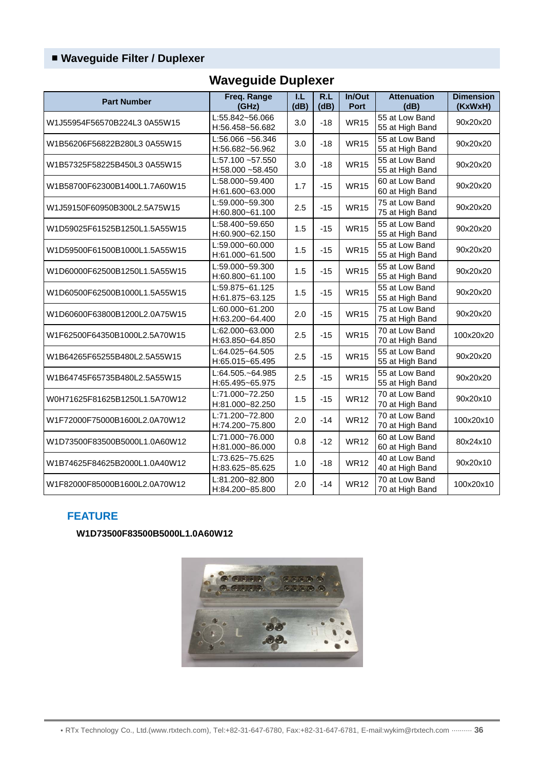| <b>Part Number</b>            | Freq. Range<br>(GHz)                   | 1.L<br>(dB) | R.L<br>(dB) | In/Out<br>Port | <b>Attenuation</b><br>(dB)        | <b>Dimension</b><br>(KxWxH) |
|-------------------------------|----------------------------------------|-------------|-------------|----------------|-----------------------------------|-----------------------------|
| W1J55954F56570B224L3 0A55W15  | L:55.842~56.066<br>H:56.458~56.682     | 3.0         | $-18$       | <b>WR15</b>    | 55 at Low Band<br>55 at High Band | 90x20x20                    |
| W1B56206F56822B280L3 0A55W15  | $L:56.066 - 56.346$<br>H:56.682~56.962 | 3.0         | $-18$       | <b>WR15</b>    | 55 at Low Band<br>55 at High Band | 90x20x20                    |
| W1B57325F58225B450L3 0A55W15  | L:57.100~57.550<br>H:58.000~58.450     | 3.0         | $-18$       | <b>WR15</b>    | 55 at Low Band<br>55 at High Band | 90x20x20                    |
| W1B58700F62300B1400L1.7A60W15 | L:58.000~59.400<br>H:61.600~63.000     | 1.7         | $-15$       | <b>WR15</b>    | 60 at Low Band<br>60 at High Band | 90x20x20                    |
| W1J59150F60950B300L2.5A75W15  | L:59.000~59.300<br>H:60.800~61.100     | 2.5         | $-15$       | <b>WR15</b>    | 75 at Low Band<br>75 at High Band | 90x20x20                    |
| W1D59025F61525B1250L1.5A55W15 | L:58.400~59.650<br>H:60.900~62.150     | 1.5         | $-15$       | <b>WR15</b>    | 55 at Low Band<br>55 at High Band | 90x20x20                    |
| W1D59500F61500B1000L1.5A55W15 | L:59.000~60.000<br>H:61.000~61.500     | 1.5         | $-15$       | <b>WR15</b>    | 55 at Low Band<br>55 at High Band | 90x20x20                    |
| W1D60000F62500B1250L1.5A55W15 | L:59.000~59.300<br>H:60.800~61.100     | 1.5         | $-15$       | <b>WR15</b>    | 55 at Low Band<br>55 at High Band | 90x20x20                    |
| W1D60500F62500B1000L1.5A55W15 | L:59.875~61.125<br>H:61.875~63.125     | 1.5         | $-15$       | <b>WR15</b>    | 55 at Low Band<br>55 at High Band | 90x20x20                    |
| W1D60600F63800B1200L2.0A75W15 | L:60.000~61.200<br>H:63.200~64.400     | 2.0         | $-15$       | <b>WR15</b>    | 75 at Low Band<br>75 at High Band | 90x20x20                    |
| W1F62500F64350B1000L2.5A70W15 | L:62.000~63.000<br>H:63.850~64.850     | 2.5         | $-15$       | <b>WR15</b>    | 70 at Low Band<br>70 at High Band | 100x20x20                   |
| W1B64265F65255B480L2.5A55W15  | L:64.025~64.505<br>H:65.015~65.495     | 2.5         | $-15$       | <b>WR15</b>    | 55 at Low Band<br>55 at High Band | 90x20x20                    |
| W1B64745F65735B480L2.5A55W15  | L:64.505.~64.985<br>H:65.495~65.975    | 2.5         | $-15$       | <b>WR15</b>    | 55 at Low Band<br>55 at High Band | 90x20x20                    |
| W0H71625F81625B1250L1.5A70W12 | L:71.000~72.250<br>H:81.000~82.250     | 1.5         | $-15$       | <b>WR12</b>    | 70 at Low Band<br>70 at High Band | 90x20x10                    |
| W1F72000F75000B1600L2.0A70W12 | L:71.200~72.800<br>H:74.200~75.800     | 2.0         | $-14$       | <b>WR12</b>    | 70 at Low Band<br>70 at High Band | 100x20x10                   |
| W1D73500F83500B5000L1.0A60W12 | L:71.000~76.000<br>H:81.000~86.000     | 0.8         | $-12$       | <b>WR12</b>    | 60 at Low Band<br>60 at High Band | 80x24x10                    |
| W1B74625F84625B2000L1.0A40W12 | L:73.625~75.625<br>H:83.625~85.625     | 1.0         | $-18$       | <b>WR12</b>    | 40 at Low Band<br>40 at High Band | 90x20x10                    |
| W1F82000F85000B1600L2.0A70W12 | L:81.200~82.800<br>H:84.200~85.800     | 2.0         | $-14$       | <b>WR12</b>    | 70 at Low Band<br>70 at High Band | 100x20x10                   |

## **Waveguide Duplexer**

#### **FEATURE**

**W1D73500F83500B5000L1.0A60W12**